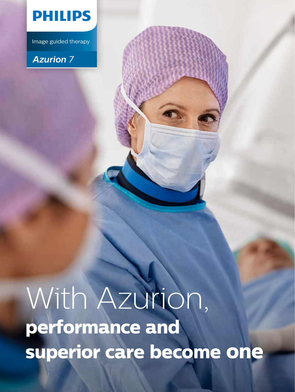

Image guided therapy

## *Azurion 7*

# With Azurion, **performance and superior care become one**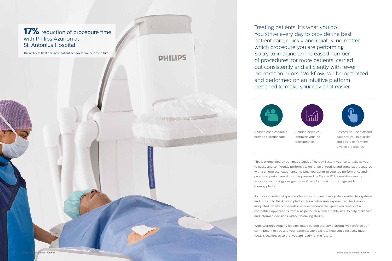Azurion enables you to provide superior care



Azurion helps you optimize your lab performance



An easy-to-use platform supports you in quickly and easily performing diverse procedures

This is exemplified by our Image Guided Therapy System Azurion 7. It allows you to easily and confidently perform a wide range of routine and complex procedures with a unique user experience, helping you optimize your lab performance and provide superior care. Azurion is powered by ConnectOS, a real-time multiworkspot technology designed specifically for the Azurion image guided therapy platform.

As the interventional space evolves, we continue to integrate essential lab systems and tools onto the Azurion platform for a better user experience. The Azurion integrated lab offers a seamless user experience that gives you control of all compatible applications from a single touch screen at table side, to help make fast and informed decisions without breaking sterility.

With Azurion's industry leading image guided therapy platform, we reinforce our commitment to you and your patients. Our goal is to help you effectively meet today's challenges so that you are ready for the future.

Treating patients. It's what you do. You strive every day to provide the best patient care, quickly and reliably, no matter which procedure you are performing. So try to imagine an increased number of procedures, for more patients, carried out consistently and efficiently with fewer preparation errors. Workflow can be optimized and performed on an intuitive platform designed to make your day a lot easier.



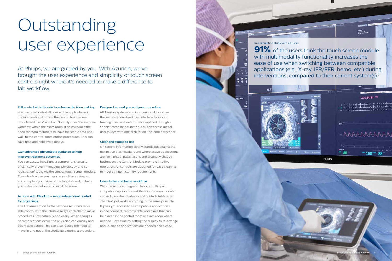#### **Full control at table side to enhance decision making**

You can now control all compatible applications in the interventional lab via the central touch screen module and FlexVision Pro. Not only does this improve workflow within the exam room, it helps reduce the need for team members to leave the sterile area and walk to the control room during procedures. This can save time and help avoid delays.

#### **Gain advanced physiologic guidance to help improve treatment outcomes**

You can access IntraSight, a comprehensive suite of clinically proven<sup>2-6</sup> imaging, physiology and coregistration<sup>7</sup> tools, via the central touch screen module. These tools allow you to go beyond the angiogram and complete your view of the target vessel, to help you make fast, informed clinical decisions.

#### **Azurion with FlexArm – more independent control for physicians**

The FlexArm option further evolves Azurion's table side control with the intuitive Axsys controller to make procedures flow naturally and easily. When changes or complications occur, the physician can quickly and easily take action. This can also reduce the need to move in and out of the sterile field during a procedure.

#### **Designed around you and your procedure**

# Outstanding users, and the touch screen module

with multimodality functionality increases the ease of use when switching between compatible applications (e.g., X-ray, iFR/FFR, hemo, etc.) during interventions, compared to their current system(s).<sup>7</sup>



PHILIPS

All Azurion systems and interventional tools use the same standardized user interface to support training. Use has been further simplified through a sophisticated help function. You can access digital user guides with one click for on-the-spot assistance.

# In a simulation study with 23 users, 监子

#### **Clear and simple to use**

On screen, information clearly stands out against the distinctive black background where active applications are highlighted. Backlit icons and distinctly shaped buttons on the Control Module promote intuitive operation. All controls are designed for easy cleaning to meet stringent sterility requirements.

#### **Less clutter and faster workflow**

With the Azurion integrated lab, controlling all compatible applications at the touch screen module can reduce extra interfaces and controls table side. The FlexSpot works according to the same principle. It gives you access to all compatible applications in one compact, customizable workplace that can be placed in the control room or exam room where needed. Save time by setting the display to re-arrange and re-size as applications are opened and closed.

At Philips, we are guided by you. With Azurion, we've brought the user experience and simplicity of touch screen controls right where it's needed to make a difference to lab workflow.

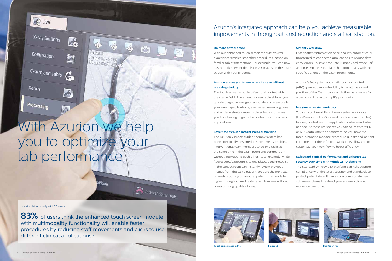## Azurion's integrated approach can help you achieve measurable improvements in throughput, cost reduction and staff satisfaction.

#### **Do more at table side**

With our enhanced touch screen module, you will experience simpler, smoother procedures, based on familiar tablet interactions. For example, you can now easily mark relevant details on 2D images on the touch screen with your fingertip.

#### **Azurion allows you to run an entire case without breaking sterility**

The touch screen module offers total control within the sterile field. Run an entire case table side as you quickly diagnose, navigate, annotate and measure to your exact specifications, even when wearing gloves and under a sterile drape. Table side control saves you from having to go to the control room to access applications.

#### **Save time through Instant Parallel Working**

The Azurion 7 image guided therapy system has been specifically designed to save time by enabling interventional team members to do two tasks at the same time in the exam room and control room without interrupting each other. As an example, while fluoroscopy/exposure is taking place, a technologist in the control room can instantly review previous images from the same patient, prepare the next exam or finish reporting on another patient. This leads to higher throughput and faster exam turnover without compromising quality of care.

#### **Simplify workflow**

Enter patient information once and it is automatically transferred to connected applications to reduce data entry errors. To save time, IntelliSpace Cardiovascular<sup>8</sup> and IntelliSpace Portal launch automatically with the specific patient on the exam room monitor.

Azurion's full system automatic position control (APC) gives you more flexibility to recall the stored position of the C-arm, table and other parameters for a particular image to simplify positioning.

#### **Imagine an easier work day**

You can combine different user centric workspots (FlexVision Pro, FlexSpot and touch screen modules) to view, control and run applications where and when needed. At these workspots you can co-register<sup>9</sup> iFR or IVUS data with the angiogram, so you have the tools in hand to manage procedure quality and patient care. Together these flexible workspots allow you to customize your workflow to boost efficiency.

#### **Safeguard clinical performance and enhance lab security over time with Windows 10 platform**

The standard Windows 10 platform can help support compliance with the latest security and standards to protect patient data. It can also accommodate new software options to extend your system's clinical relevance over time.











In a simulation study with 23 users,

83% of users think the enhanced touch screen module with multimodality functionality will enable faster procedures by reducing staff movements and clicks to use different clinical applications.<sup>7</sup>

Interventional Tools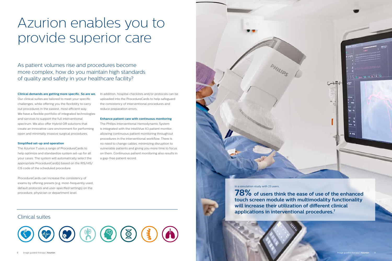#### **Clinical demands are getting more specific. So are we.**

Our clinical suites are tailored to meet your specific challenges, while offering you the flexibility to carry out procedures in the easiest, most efficient way. We have a flexible portfolio of integrated technologies and services to support the full interventional spectrum. We also offer Hybrid OR solutions that create an innovative care environment for performing open and minimally invasive surgical procedures.

#### **Simplified set-up and operation**

The Azurion 7 uses a range of ProcedureCards to help optimize and standardize system set-up for all your cases. The system will automatically select the appropriate ProcedureCard(s) based on the RIS/HIS/ CIS code of the scheduled procedure.

ProcedureCards can increase the consistency of exams by offering presets (e.g. most-frequently used, default protocols and user-specified settings) on the procedure, physician or department level.

In addition, hospital checklists and/or protocols can be uploaded into the ProcedureCards to help safeguard the consistency of interventional procedures and reduce preparation errors.

#### **Enhance patient care with continuous monitoring**

The Philips Interventional Hemodynamic System is integrated with the IntelliVue X3 patient monitor, allowing continuous patient monitoring throughout procedures in the interventional workflow. There is no need to change cables, minimizing disruption to vulnerable patients and giving you more time to focus on them. Continuous patient monitoring also results in a gap-free patient record.

# Azurion enables you to provide superior care

## As patient volumes rise and procedures become more complex, how do you maintain high standards of quality and safety in your healthcare facility?



**78% of users think the ease of use of the enhanced touch screen module with multimodality functionality will increase their utilization of different clinical applications in interventional procedures.7**

In a simulation study with 23 users,

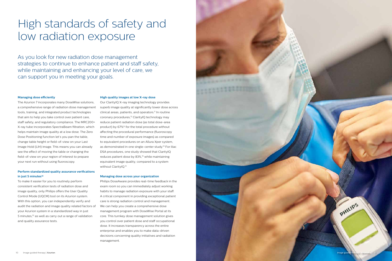#### **Managing dose efficiently**

#### **Perform standardized quality assurance verifications**  in just 5 minutes<sup>10</sup>

The Azurion 7 incorporates many DoseWise solutions, a comprehensive range of radiation dose management tools, training, and integrated product technologies that aim to help you take control over patient care, staff safety, and regulatory compliance. The MRC200+ X-ray tube incorporates SpectraBeam filtration, which helps maintain image quality at a low dose. The Zero Dose Positioning function let's you pan the table, change table height or field-of-view on your Last Image Hold (LIH) image. This means you can already see the effect of moving the table or changing the field-of-view on your region of interest to prepare your next run without using fluoroscopy.

Our ClarityIQ X-ray imaging technology provides superb image quality at significantly lower dose across clinical areas, patients, and operators.<sup>11</sup> In routine coronary procedures,<sup>12</sup> ClarityIQ technology may reduce patient radiation dose (as total dose-area product) by 67%13 for the total procedure without affecting the procedural performance (fluoroscopy time and number of exposure images) as compared to equivalent procedures on an Allura Xper system, as demonstrated in one single-center study.<sup>14</sup> For iliac DSA procedures, one study showed that ClarityIQ reduces patient dose by 83%,<sup>15</sup> while maintaining equivalent image quality, compared to a system without ClarityIQ.<sup>13</sup>

To make it easier for you to routinely perform consistent verification tests of radiation dose and image quality, only Philips offers the User Quality Control Mode (UQCM) tool on its Azurion system. With this option, you can independently verify and audit the radiation and image quality related factors of your Azurion system in a standardized way in just 5 minutes,<sup>10</sup> as well as carry out a range of validation and quality assurance tests.

#### **High quality images at low X-ray dose**

#### **Managing dose across your organization**

Philips DoseAware provides real-time feedback in the exam room so you can immediately adjust working habits to manage radiation exposure with your staff. A critical component in providing exceptional patient care is strong radiation control and management. We can help you create a comprehensive dose management program with DoseWise Portal at its core. This turnkey dose management solution gives you control over patient dose and staff occupational dose. It increases transparency across the entire enterprise and enables you to make data-driven decisions concerning quality initiatives and radiation management.

## High standards of safety and low radiation exposure

As you look for new radiation dose management strategies to continue to enhance patient and staff safety, while maintaining and enhancing your level of care, we can support you in meeting your goals.



PHILIPS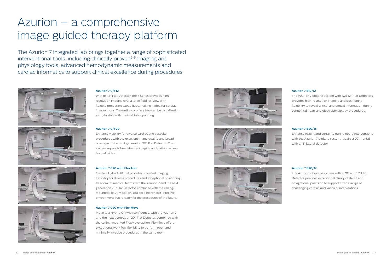## Azurion – a comprehensive image guided therapy platform

#### **Azurion 7 C/F12**

With its 12" Flat Detector, the 7 Series provides highresolution imaging over a large field-of-view with flexible projection capabilities, making it idea for cardiac interventions. The entire coronary tree can be visualized in a single view with minimal table panning.

#### **Azurion 7 C/F20**

Enhance visibility for diverse cardiac and vascular procedures with the excellent image quality and broad coverage of the next generation 20" Flat Detector. This system supports head-to-toe imaging and patient access from all sides.

#### **Azurion 7 C20 with FlexArm**

Create a Hybrid OR that provides unlimited imaging flexibility for diverse procedures and exceptional positioning freedom for medical teams with the Azurion 7 and the next generation 20" Flat Detector, combined with the ceilingmounted FlexArm option. You get a highly cost-effective environment that is ready for the procedures of the future.

#### **Azurion 7 C20 with FlexMove**

Move to a Hybrid OR with confidence, with the Azurion 7 and the next generation 20" Flat Detector, combined with the ceiling-mounted FlexMove option. FlexMove offers exceptional workflow flexibility to perform open and minimally invasive procedures in the same room.









#### **Azurion 7 B12/12**

The Azurion 7 biplane system with two 12" Flat Detectors provides high-resolution imaging and positioning flexibility to reveal critical anatomical information during congenital heart and electrophysiology procedures.

#### **Azurion 7 B20/15**

Enhance insight and certainty during neuro interventions with the Azurion 7 biplane system. It pairs a 20" frontal with a 15" lateral detector.

#### **Azurion 7 B20/12**

The Azurion 7 biplane system with a 20" and 12" Flat Detector provides exceptional clarity of detail and navigational precision to support a wide range of challenging cardiac and vascular interventions.

The Azurion 7 integrated lab brings together a range of sophisticated interventional tools, including clinically proven<sup>2-6</sup> imaging and physiology tools, advanced hemodynamic measurements and cardiac informatics to support clinical excellence during procedures.







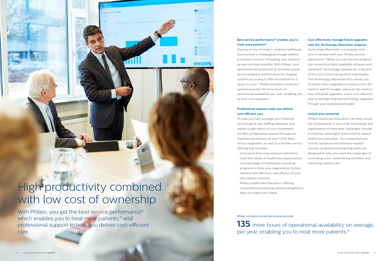#### **Professional support helps you deliver cost-efficient care**

To help you fully leverage your financial, technological and staffing resources and realize a high return on your investment, we offer professional support through our experienced network of over 7,000 field service engineers, as well as a flexible service offering that includes:

Staying on top of today's complex healtho environment is challenging enough without a constant concern of keeping your syster up and running smoothly. With Philips, you operations are protected by the best over service engineer performance for imaging systems according to IMV ServiceTrak for 5 years in a row.<sup>16</sup> Philips remotely connected systems provide 135 more hours of operational availability per year, enabling you to treat more patients.<sup>17</sup> Technology Maximizer is a program that runs in tandem with your Philips Service Agreement.<sup>18</sup> When you opt into the program, you receive the latest available software and hardware<sup>19</sup> technology releases for a fraction of the cost of purchasing them individually. The Technology Maximizer Plus allows you to further tailor upgrades to reduce costs. No need to wait for budget approval. No need to buy individual upgrades. Just a cost-effective way to manage ongoing technology upgrades through your operational budget.

- Innovative financing solutions tailored to meet the needs of healthcare organization
- A broad range of healthcare consulting programs to help your organization further enhance the efficiency and efficacy of your care delivery process
- Philips Healthcare Education, offering comprehensive learning options designed to help you meet your needs.

## High productivity combined with low cost of ownership

With Philips, you get the best service performance<sup>16</sup> which enables you to treat more patients,<sup>17</sup> and professional support to help you deliver cost-efficient care.

**135** more hours of operational availability on average, per year, enabling you to treat more patients.<sup>17</sup>

### **Best service performance16 enables you to**  treat more patients<sup>17</sup>

**PHILIPS** 

| care |
|------|
| ut   |
| ทร   |
| ur   |
| all  |
| ŗ    |
| 5    |
| эd   |
|      |

#### **Cost-effectively manage future upgrades with the Technology Maximizer program**

#### **Unlock your potential**

|      | Philips Healthcare Education can help unlock     |
|------|--------------------------------------------------|
|      | the full potential of your staff, technology and |
|      | organization to meet new challenges through      |
|      | innovative, meaningful and evidence-based        |
|      | healthcare education. Our comprehensive          |
| rice | clinical, technical and business-related         |
|      | courses, programs and learning paths are         |
|      | designed to help you meet the challenges of      |
| ons  | controlling costs, streamlining workflow and     |
|      | improving patient care.                          |
|      |                                                  |

Philips remotely connected systems provide